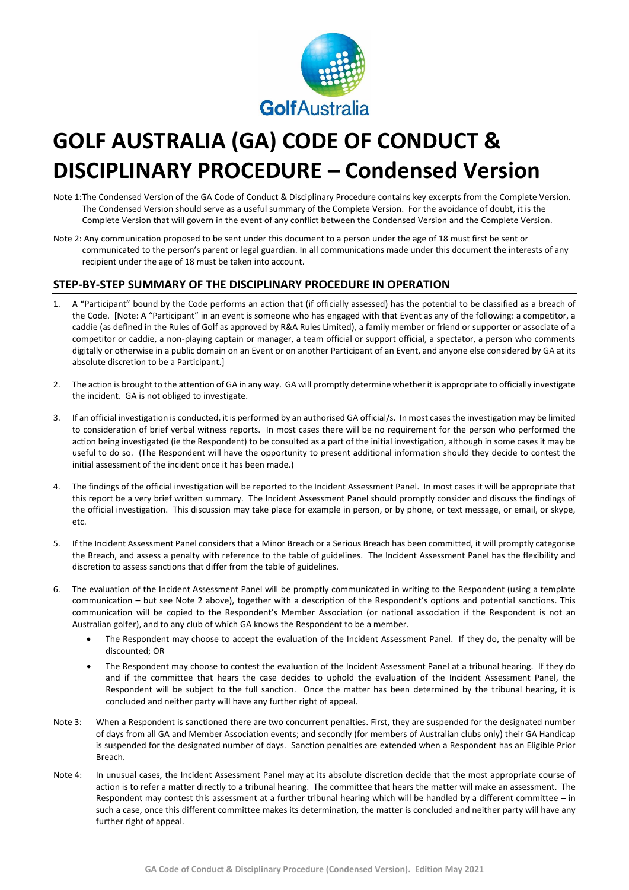

# **GOLF AUSTRALIA (GA) CODE OF CONDUCT & DISCIPLINARY PROCEDURE – Condensed Version**

- Note 1:The Condensed Version of the GA Code of Conduct & Disciplinary Procedure contains key excerpts from the Complete Version. The Condensed Version should serve as a useful summary of the Complete Version. For the avoidance of doubt, it is the Complete Version that will govern in the event of any conflict between the Condensed Version and the Complete Version.
- Note 2: Any communication proposed to be sent under this document to a person under the age of 18 must first be sent or communicated to the person's parent or legal guardian. In all communications made under this document the interests of any recipient under the age of 18 must be taken into account.

## **STEP-BY-STEP SUMMARY OF THE DISCIPLINARY PROCEDURE IN OPERATION**

- 1. A "Participant" bound by the Code performs an action that (if officially assessed) has the potential to be classified as a breach of the Code. [Note: A "Participant" in an event is someone who has engaged with that Event as any of the following: a competitor, a caddie (as defined in the Rules of Golf as approved by R&A Rules Limited), a family member or friend or supporter or associate of a competitor or caddie, a non-playing captain or manager, a team official or support official, a spectator, a person who comments digitally or otherwise in a public domain on an Event or on another Participant of an Event, and anyone else considered by GA at its absolute discretion to be a Participant.]
- 2. The action is brought to the attention of GA in any way. GA will promptly determine whether it is appropriate to officially investigate the incident. GA is not obliged to investigate.
- If an official investigation is conducted, it is performed by an authorised GA official/s. In most cases the investigation may be limited to consideration of brief verbal witness reports. In most cases there will be no requirement for the person who performed the action being investigated (ie the Respondent) to be consulted as a part of the initial investigation, although in some cases it may be useful to do so. (The Respondent will have the opportunity to present additional information should they decide to contest the initial assessment of the incident once it has been made.)
- 4. The findings of the official investigation will be reported to the Incident Assessment Panel. In most cases it will be appropriate that this report be a very brief written summary. The Incident Assessment Panel should promptly consider and discuss the findings of the official investigation. This discussion may take place for example in person, or by phone, or text message, or email, or skype, etc.
- 5. If the Incident Assessment Panel considers that a Minor Breach or a Serious Breach has been committed, it will promptly categorise the Breach, and assess a penalty with reference to the table of guidelines. The Incident Assessment Panel has the flexibility and discretion to assess sanctions that differ from the table of guidelines.
- 6. The evaluation of the Incident Assessment Panel will be promptly communicated in writing to the Respondent (using a template communication – but see Note 2 above), together with a description of the Respondent's options and potential sanctions. This communication will be copied to the Respondent's Member Association (or national association if the Respondent is not an Australian golfer), and to any club of which GA knows the Respondent to be a member.
	- The Respondent may choose to accept the evaluation of the Incident Assessment Panel. If they do, the penalty will be discounted; OR
	- The Respondent may choose to contest the evaluation of the Incident Assessment Panel at a tribunal hearing. If they do and if the committee that hears the case decides to uphold the evaluation of the Incident Assessment Panel, the Respondent will be subject to the full sanction. Once the matter has been determined by the tribunal hearing, it is concluded and neither party will have any further right of appeal.
- Note 3: When a Respondent is sanctioned there are two concurrent penalties. First, they are suspended for the designated number of days from all GA and Member Association events; and secondly (for members of Australian clubs only) their GA Handicap is suspended for the designated number of days. Sanction penalties are extended when a Respondent has an Eligible Prior Breach.
- Note 4: In unusual cases, the Incident Assessment Panel may at its absolute discretion decide that the most appropriate course of action is to refer a matter directly to a tribunal hearing. The committee that hears the matter will make an assessment. The Respondent may contest this assessment at a further tribunal hearing which will be handled by a different committee – in such a case, once this different committee makes its determination, the matter is concluded and neither party will have any further right of appeal.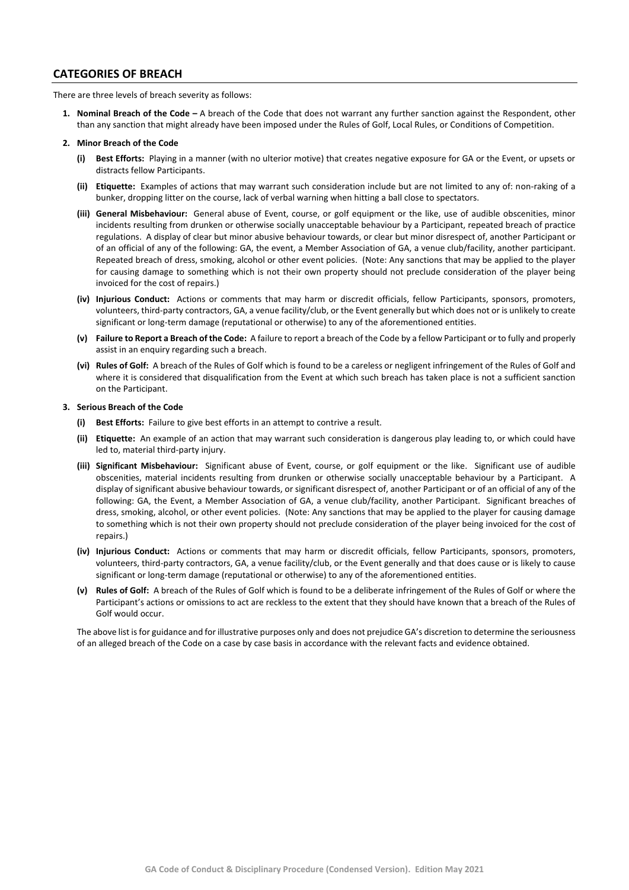### **CATEGORIES OF BREACH**

There are three levels of breach severity as follows:

**1. Nominal Breach of the Code –** A breach of the Code that does not warrant any further sanction against the Respondent, other than any sanction that might already have been imposed under the Rules of Golf, Local Rules, or Conditions of Competition.

#### **2. Minor Breach of the Code**

- **(i) Best Efforts:** Playing in a manner (with no ulterior motive) that creates negative exposure for GA or the Event, or upsets or distracts fellow Participants.
- **(ii) Etiquette:** Examples of actions that may warrant such consideration include but are not limited to any of: non-raking of a bunker, dropping litter on the course, lack of verbal warning when hitting a ball close to spectators.
- **(iii) General Misbehaviour:** General abuse of Event, course, or golf equipment or the like, use of audible obscenities, minor incidents resulting from drunken or otherwise socially unacceptable behaviour by a Participant, repeated breach of practice regulations. A display of clear but minor abusive behaviour towards, or clear but minor disrespect of, another Participant or of an official of any of the following: GA, the event, a Member Association of GA, a venue club/facility, another participant. Repeated breach of dress, smoking, alcohol or other event policies. (Note: Any sanctions that may be applied to the player for causing damage to something which is not their own property should not preclude consideration of the player being invoiced for the cost of repairs.)
- **(iv) Injurious Conduct:** Actions or comments that may harm or discredit officials, fellow Participants, sponsors, promoters, volunteers, third-party contractors, GA, a venue facility/club, or the Event generally but which does not or is unlikely to create significant or long-term damage (reputational or otherwise) to any of the aforementioned entities.
- **(v) Failure to Report a Breach of the Code:** A failure to report a breach of the Code by a fellow Participant or to fully and properly assist in an enquiry regarding such a breach.
- **(vi) Rules of Golf:** A breach of the Rules of Golf which is found to be a careless or negligent infringement of the Rules of Golf and where it is considered that disqualification from the Event at which such breach has taken place is not a sufficient sanction on the Participant.

#### **3. Serious Breach of the Code**

- **(i) Best Efforts:** Failure to give best efforts in an attempt to contrive a result.
- **(ii) Etiquette:** An example of an action that may warrant such consideration is dangerous play leading to, or which could have led to, material third-party injury.
- **(iii) Significant Misbehaviour:** Significant abuse of Event, course, or golf equipment or the like. Significant use of audible obscenities, material incidents resulting from drunken or otherwise socially unacceptable behaviour by a Participant. A display of significant abusive behaviour towards, or significant disrespect of, another Participant or of an official of any of the following: GA, the Event, a Member Association of GA, a venue club/facility, another Participant. Significant breaches of dress, smoking, alcohol, or other event policies. (Note: Any sanctions that may be applied to the player for causing damage to something which is not their own property should not preclude consideration of the player being invoiced for the cost of repairs.)
- **(iv) Injurious Conduct:** Actions or comments that may harm or discredit officials, fellow Participants, sponsors, promoters, volunteers, third-party contractors, GA, a venue facility/club, or the Event generally and that does cause or is likely to cause significant or long-term damage (reputational or otherwise) to any of the aforementioned entities.
- **(v) Rules of Golf:** A breach of the Rules of Golf which is found to be a deliberate infringement of the Rules of Golf or where the Participant's actions or omissions to act are reckless to the extent that they should have known that a breach of the Rules of Golf would occur.

The above list is for guidance and for illustrative purposes only and does not prejudice GA's discretion to determine the seriousness of an alleged breach of the Code on a case by case basis in accordance with the relevant facts and evidence obtained.